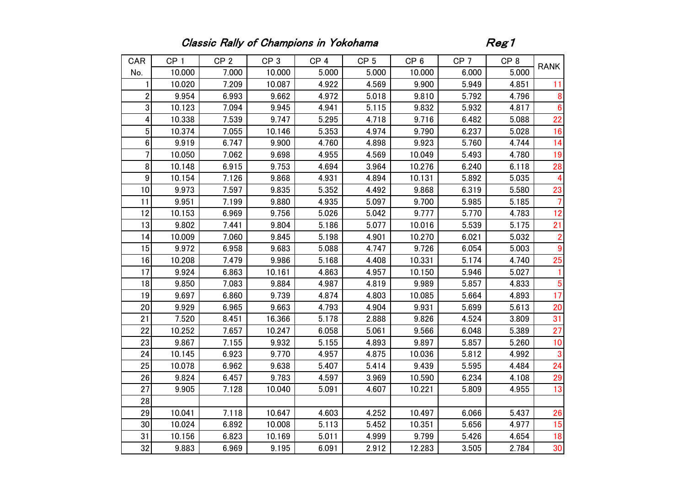## Classic Rally of Champions in Yokohama **Reg1**

| CAR                     | CP <sub>1</sub> | CP <sub>2</sub> | CP <sub>3</sub> | CP <sub>4</sub> | CP <sub>5</sub> | CP <sub>6</sub> | CP <sub>7</sub> | CP <sub>8</sub> | <b>RANK</b>     |
|-------------------------|-----------------|-----------------|-----------------|-----------------|-----------------|-----------------|-----------------|-----------------|-----------------|
| No.                     | 10.000          | 7.000           | 10.000          | 5.000           | 5.000           | 10.000          | 6.000           | 5.000           |                 |
| 1                       | 10.020          | 7.209           | 10.087          | 4.922           | 4.569           | 9.900           | 5.949           | 4.851           | 11              |
| $\overline{2}$          | 9.954           | 6.993           | 9.662           | 4.972           | 5.018           | 9.810           | 5.792           | 4.796           | 8               |
| 3                       | 10.123          | 7.094           | 9.945           | 4.941           | 5.115           | 9.832           | 5.932           | 4.817           | $6\phantom{1}6$ |
| $\overline{\mathbf{4}}$ | 10.338          | 7.539           | 9.747           | 5.295           | 4.718           | 9.716           | 6.482           | 5.088           | 22              |
| $5\phantom{.0}$         | 10.374          | 7.055           | 10.146          | 5.353           | 4.974           | 9.790           | 6.237           | 5.028           | 16              |
| $6\phantom{a}$          | 9.919           | 6.747           | 9.900           | 4.760           | 4.898           | 9.923           | 5.760           | 4.744           | 14              |
| $\overline{7}$          | 10.050          | 7.062           | 9.698           | 4.955           | 4.569           | 10.049          | 5.493           | 4.780           | 19              |
| 8                       | 10.148          | 6.915           | 9.753           | 4.694           | 3.964           | 10.276          | 6.240           | 6.118           | 28              |
| $\boldsymbol{9}$        | 10.154          | 7.126           | 9.868           | 4.931           | 4.894           | 10.131          | 5.892           | 5.035           | $\overline{4}$  |
| 10                      | 9.973           | 7.597           | 9.835           | 5.352           | 4.492           | 9.868           | 6.319           | 5.580           | 23              |
| 11                      | 9.951           | 7.199           | 9.880           | 4.935           | 5.097           | 9.700           | 5.985           | 5.185           | $\overline{7}$  |
| 12                      | 10.153          | 6.969           | 9.756           | 5.026           | 5.042           | 9.777           | 5.770           | 4.783           | 12              |
| 13                      | 9.802           | 7.441           | 9.804           | 5.186           | 5.077           | 10.016          | 5.539           | 5.175           | 21              |
| 14                      | 10.009          | 7.060           | 9.845           | 5.198           | 4.901           | 10.270          | 6.021           | 5.032           | $\overline{2}$  |
| 15                      | 9.972           | 6.958           | 9.683           | 5.088           | 4.747           | 9.726           | 6.054           | 5.003           | 9               |
| 16                      | 10.208          | 7.479           | 9.986           | 5.168           | 4.408           | 10.331          | 5.174           | 4.740           | 25              |
| 17                      | 9.924           | 6.863           | 10.161          | 4.863           | 4.957           | 10.150          | 5.946           | 5.027           |                 |
| 18                      | 9.850           | 7.083           | 9.884           | 4.987           | 4.819           | 9.989           | 5.857           | 4.833           | 5               |
| 19                      | 9.697           | 6.860           | 9.739           | 4.874           | 4.803           | 10.085          | 5.664           | 4.893           | 17              |
| 20                      | 9.929           | 6.965           | 9.663           | 4.793           | 4.904           | 9.931           | 5.699           | 5.613           | 20              |
| 21                      | 7.520           | 8.451           | 16.366          | 5.178           | 2.888           | 9.826           | 4.524           | 3.809           | 31              |
| 22                      | 10.252          | 7.657           | 10.247          | 6.058           | 5.061           | 9.566           | 6.048           | 5.389           | 27              |
| 23                      | 9.867           | 7.155           | 9.932           | 5.155           | 4.893           | 9.897           | 5.857           | 5.260           | 10              |
| 24                      | 10.145          | 6.923           | 9.770           | 4.957           | 4.875           | 10.036          | 5.812           | 4.992           | 3               |
| 25                      | 10.078          | 6.962           | 9.638           | 5.407           | 5.414           | 9.439           | 5.595           | 4.484           | 24              |
| 26                      | 9.824           | 6.457           | 9.783           | 4.597           | 3.969           | 10.590          | 6.234           | 4.108           | 29              |
| 27                      | 9.905           | 7.128           | 10.040          | 5.091           | 4.607           | 10.221          | 5.809           | 4.955           | 13              |
| 28                      |                 |                 |                 |                 |                 |                 |                 |                 |                 |
| 29                      | 10.041          | 7.118           | 10.647          | 4.603           | 4.252           | 10.497          | 6.066           | 5.437           | 26              |
| 30                      | 10.024          | 6.892           | 10.008          | 5.113           | 5.452           | 10.351          | 5.656           | 4.977           | 15              |
| 31                      | 10.156          | 6.823           | 10.169          | 5.011           | 4.999           | 9.799           | 5.426           | 4.654           | 18              |
| 32                      | 9.883           | 6.969           | 9.195           | 6.091           | 2.912           | 12.283          | 3.505           | 2.784           | 30              |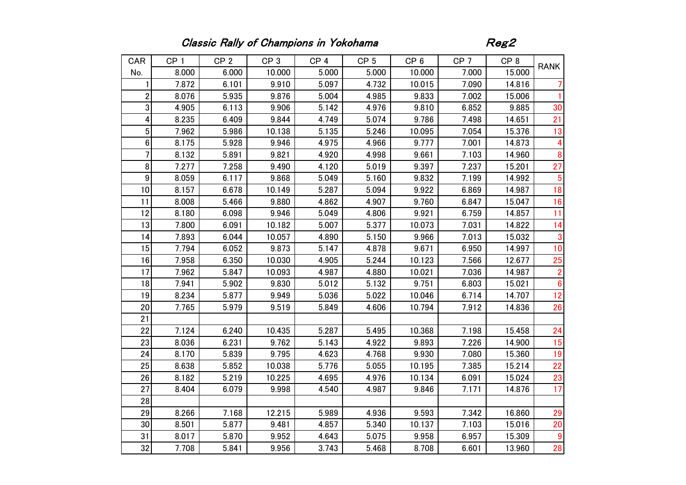## Classic Rally of Champions in Yokohama **Reg2**

| CAR                     | CP <sub>1</sub> | CP <sub>2</sub> | CP <sub>3</sub> | CP <sub>4</sub> | CP <sub>5</sub> | CP <sub>6</sub> | CP <sub>7</sub> | CP <sub>8</sub> |                         |
|-------------------------|-----------------|-----------------|-----------------|-----------------|-----------------|-----------------|-----------------|-----------------|-------------------------|
| No.                     | 8.000           | 6.000           | 10.000          | 5.000           | 5.000           | 10.000          | 7.000           | 15.000          | <b>RANK</b>             |
| 1                       | 7.872           | 6.101           | 9.910           | 5.097           | 4.732           | 10.015          | 7.090           | 14.816          | 7                       |
| $\boldsymbol{2}$        | 8.076           | 5.935           | 9.876           | 5.004           | 4.985           | 9.833           | 7.002           | 15.006          | 1.                      |
| $\sqrt{3}$              | 4.905           | 6.113           | 9.906           | 5.142           | 4.976           | 9.810           | 6.852           | 9.885           | 30                      |
| $\overline{\mathbf{4}}$ | 8.235           | 6.409           | 9.844           | 4.749           | 5.074           | 9.786           | 7.498           | 14.651          | 21                      |
| $\overline{5}$          | 7.962           | 5.986           | 10.138          | 5.135           | 5.246           | 10.095          | 7.054           | 15.376          | 13                      |
| $6\phantom{.}$          | 8.175           | 5.928           | 9.946           | 4.975           | 4.966           | 9.777           | 7.001           | 14.873          | 4                       |
| $\overline{7}$          | 8.132           | 5.891           | 9.821           | 4.920           | 4.998           | 9.661           | 7.103           | 14.960          | 8                       |
| 8                       | 7.277           | 7.258           | 9.490           | 4.120           | 5.019           | 9.397           | 7.237           | 15.201          | 27                      |
| $\boldsymbol{9}$        | 8.059           | 6.117           | 9.868           | 5.049           | 5.160           | 9.832           | 7.199           | 14.992          | $\overline{5}$          |
| 10                      | 8.157           | 6.678           | 10.149          | 5.287           | 5.094           | 9.922           | 6.869           | 14.987          | 18                      |
| 11                      | 8.008           | 5.466           | 9.880           | 4.862           | 4.907           | 9.760           | 6.847           | 15.047          | 16                      |
| 12                      | 8.180           | 6.098           | 9.946           | 5.049           | 4.806           | 9.921           | 6.759           | 14.857          | 11                      |
| 13                      | 7.800           | 6.091           | 10.182          | 5.007           | 5.377           | 10.073          | 7.031           | 14.822          | 14                      |
| 14                      | 7.893           | 6.044           | 10.057          | 4.890           | 5.150           | 9.966           | 7.013           | 15.032          | 3                       |
| 15                      | 7.794           | 6.052           | 9.873           | 5.147           | 4.878           | 9.671           | 6.950           | 14.997          | 10                      |
| 16                      | 7.958           | 6.350           | 10.030          | 4.905           | 5.244           | 10.123          | 7.566           | 12.677          | 25                      |
| 17                      | 7.962           | 5.847           | 10.093          | 4.987           | 4.880           | 10.021          | 7.036           | 14.987          | $\overline{\mathbf{c}}$ |
| 18                      | 7.941           | 5.902           | 9.830           | 5.012           | 5.132           | 9.751           | 6.803           | 15.021          | $6\phantom{1}$          |
| 19                      | 8.234           | 5.877           | 9.949           | 5.036           | 5.022           | 10.046          | 6.714           | 14.707          | 12                      |
| 20                      | 7.765           | 5.979           | 9.519           | 5.849           | 4.606           | 10.794          | 7.912           | 14.836          | 26                      |
| 21                      |                 |                 |                 |                 |                 |                 |                 |                 |                         |
| 22                      | 7.124           | 6.240           | 10.435          | 5.287           | 5.495           | 10.368          | 7.198           | 15.458          | 24                      |
| 23                      | 8.036           | 6.231           | 9.762           | 5.143           | 4.922           | 9.893           | 7.226           | 14.900          | 15                      |
| 24                      | 8.170           | 5.839           | 9.795           | 4.623           | 4.768           | 9.930           | 7.080           | 15.360          | 19                      |
| 25                      | 8.638           | 5.852           | 10.038          | 5.776           | 5.055           | 10.195          | 7.385           | 15.214          | 22                      |
| 26                      | 8.182           | 5.219           | 10.225          | 4.695           | 4.976           | 10.134          | 6.091           | 15.024          | 23                      |
| 27                      | 8.404           | 6.079           | 9.998           | 4.540           | 4.987           | 9.846           | 7.171           | 14.876          | 17                      |
| 28                      |                 |                 |                 |                 |                 |                 |                 |                 |                         |
| 29                      | 8.266           | 7.168           | 12.215          | 5.989           | 4.936           | 9.593           | 7.342           | 16.860          | 29                      |
| 30                      | 8.501           | 5.877           | 9.481           | 4.857           | 5.340           | 10.137          | 7.103           | 15.016          | 20                      |
| 31                      | 8.017           | 5.870           | 9.952           | 4.643           | 5.075           | 9.958           | 6.957           | 15.309          | 9                       |
| 32                      | 7.708           | 5.841           | 9.956           | 3.743           | 5.468           | 8.708           | 6.601           | 13.960          | 28                      |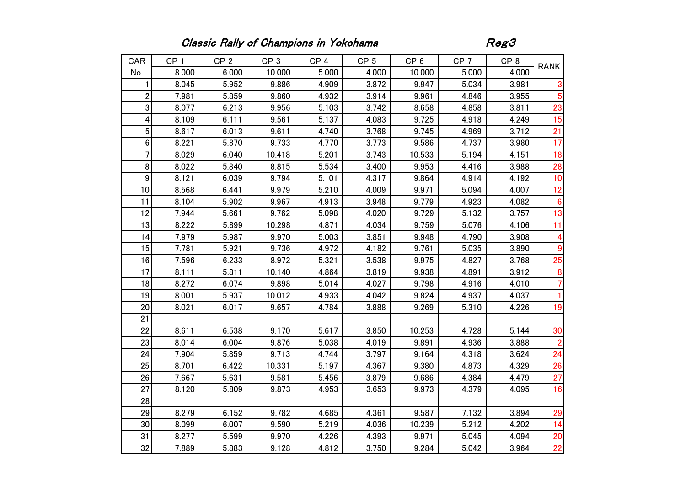## Classic Rally of Champions in Yokohama **Reg3**

| CAR              | CP <sub>1</sub> | CP <sub>2</sub> | CP <sub>3</sub> | CP <sub>4</sub> | CP <sub>5</sub> | CP <sub>6</sub> | CP <sub>7</sub> | CP <sub>8</sub> | <b>RANK</b>      |
|------------------|-----------------|-----------------|-----------------|-----------------|-----------------|-----------------|-----------------|-----------------|------------------|
| No.              | 8.000           | 6.000           | 10.000          | 5.000           | 4.000           | 10.000          | 5.000           | 4.000           |                  |
| 1                | 8.045           | 5.952           | 9.886           | 4.909           | 3.872           | 9.947           | 5.034           | 3.981           | 3                |
| $\sqrt{2}$       | 7.981           | 5.859           | 9.860           | 4.932           | 3.914           | 9.961           | 4.846           | 3.955           | 5                |
| $\sqrt{3}$       | 8.077           | 6.213           | 9.956           | 5.103           | 3.742           | 8.658           | 4.858           | 3.811           | 23               |
| 4                | 8.109           | 6.111           | 9.561           | 5.137           | 4.083           | 9.725           | 4.918           | 4.249           | 15               |
| $\overline{5}$   | 8.617           | 6.013           | 9.611           | 4.740           | 3.768           | 9.745           | 4.969           | 3.712           | 21               |
| $6\phantom{.0}$  | 8.221           | 5.870           | 9.733           | 4.770           | 3.773           | 9.586           | 4.737           | 3.980           | 17               |
| 7                | 8.029           | 6.040           | 10.418          | 5.201           | 3.743           | 10.533          | 5.194           | 4.151           | 18               |
| $\bf 8$          | 8.022           | 5.840           | 8.815           | 5.534           | 3.400           | 9.953           | 4.416           | 3.988           | 28               |
| $\boldsymbol{9}$ | 8.121           | 6.039           | 9.794           | 5.101           | 4.317           | 9.864           | 4.914           | 4.192           | 10               |
| 10               | 8.568           | 6.441           | 9.979           | 5.210           | 4.009           | 9.971           | 5.094           | 4.007           | 12               |
| 11               | 8.104           | 5.902           | 9.967           | 4.913           | 3.948           | 9.779           | 4.923           | 4.082           | $6\phantom{1}6$  |
| 12               | 7.944           | 5.661           | 9.762           | 5.098           | 4.020           | 9.729           | 5.132           | 3.757           | 13               |
| 13               | 8.222           | 5.899           | 10.298          | 4.871           | 4.034           | 9.759           | 5.076           | 4.106           | 11               |
| 14               | 7.979           | 5.987           | 9.970           | 5.003           | 3.851           | 9.948           | 4.790           | 3.908           | 4                |
| 15               | 7.781           | 5.921           | 9.736           | 4.972           | 4.182           | 9.761           | 5.035           | 3.890           | $\boldsymbol{9}$ |
| 16               | 7.596           | 6.233           | 8.972           | 5.321           | 3.538           | 9.975           | 4.827           | 3.768           | 25               |
| 17               | 8.111           | 5.811           | 10.140          | 4.864           | 3.819           | 9.938           | 4.891           | 3.912           | 8                |
| 18               | 8.272           | 6.074           | 9.898           | 5.014           | 4.027           | 9.798           | 4.916           | 4.010           | $\overline{7}$   |
| 19               | 8.001           | 5.937           | 10.012          | 4.933           | 4.042           | 9.824           | 4.937           | 4.037           | 1.               |
| 20               | 8.021           | 6.017           | 9.657           | 4.784           | 3.888           | 9.269           | 5.310           | 4.226           | 19               |
| 21               |                 |                 |                 |                 |                 |                 |                 |                 |                  |
| 22               | 8.611           | 6.538           | 9.170           | 5.617           | 3.850           | 10.253          | 4.728           | 5.144           | 30               |
| 23               | 8.014           | 6.004           | 9.876           | 5.038           | 4.019           | 9.891           | 4.936           | 3.888           | $\overline{2}$   |
| 24               | 7.904           | 5.859           | 9.713           | 4.744           | 3.797           | 9.164           | 4.318           | 3.624           | 24               |
| 25               | 8.701           | 6.422           | 10.331          | 5.197           | 4.367           | 9.380           | 4.873           | 4.329           | 26               |
| 26               | 7.667           | 5.631           | 9.581           | 5.456           | 3.879           | 9.686           | 4.384           | 4.479           | 27               |
| 27               | 8.120           | 5.809           | 9.873           | 4.953           | 3.653           | 9.973           | 4.379           | 4.095           | 16               |
| 28               |                 |                 |                 |                 |                 |                 |                 |                 |                  |
| 29               | 8.279           | 6.152           | 9.782           | 4.685           | 4.361           | 9.587           | 7.132           | 3.894           | 29               |
| 30               | 8.099           | 6.007           | 9.590           | 5.219           | 4.036           | 10.239          | 5.212           | 4.202           | 14               |
| 31               | 8.277           | 5.599           | 9.970           | 4.226           | 4.393           | 9.971           | 5.045           | 4.094           | 20               |
| 32               | 7.889           | 5.883           | 9.128           | 4.812           | 3.750           | 9.284           | 5.042           | 3.964           | 22               |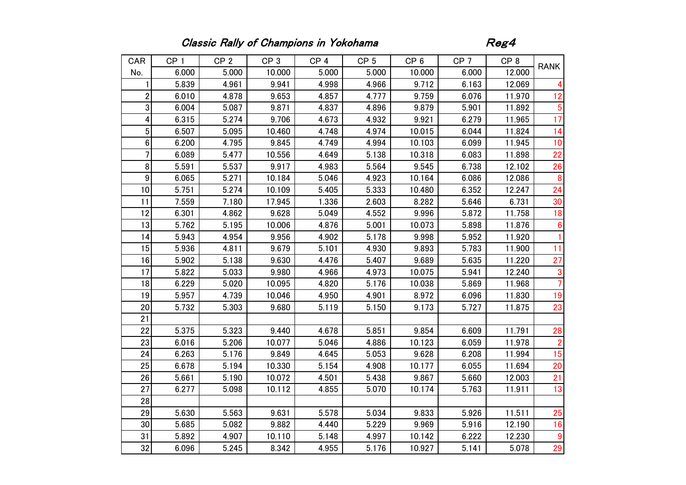## Classic Rally of Champions in Yokohama **Regards**

| CAR              | CP <sub>1</sub> | CP <sub>2</sub> | CP <sub>3</sub> | CP <sub>4</sub> | CP <sub>5</sub> | CP <sub>6</sub> | CP <sub>7</sub> | CP <sub>8</sub> | <b>RANK</b>     |
|------------------|-----------------|-----------------|-----------------|-----------------|-----------------|-----------------|-----------------|-----------------|-----------------|
| No.              | 6.000           | 5.000           | 10.000          | 5.000           | 5.000           | 10.000          | 6.000           | 12.000          |                 |
| 1                | 5.839           | 4.961           | 9.941           | 4.998           | 4.966           | 9.712           | 6.163           | 12.069          | 4               |
| $\boldsymbol{2}$ | 6.010           | 4.878           | 9.653           | 4.857           | 4.777           | 9.759           | 6.076           | 11.970          | 12              |
| $\sqrt{3}$       | 6.004           | 5.087           | 9.871           | 4.837           | 4.896           | 9.879           | 5.901           | 11.892          | 5               |
| 4                | 6.315           | 5.274           | 9.706           | 4.673           | 4.932           | 9.921           | 6.279           | 11.965          | 17              |
| $\overline{5}$   | 6.507           | 5.095           | 10.460          | 4.748           | 4.974           | 10.015          | 6.044           | 11.824          | 14              |
| 6                | 6.200           | 4.795           | 9.845           | 4.749           | 4.994           | 10.103          | 6.099           | 11.945          | 10              |
| $\overline{7}$   | 6.089           | 5.477           | 10.556          | 4.649           | 5.138           | 10.318          | 6.083           | 11.898          | 22              |
| 8                | 5.591           | 5.537           | 9.917           | 4.983           | 5.564           | 9.545           | 6.738           | 12.102          | 26              |
| $\boldsymbol{9}$ | 6.065           | 5.271           | 10.184          | 5.046           | 4.923           | 10.164          | 6.086           | 12.086          | 8               |
| 10               | 5.751           | 5.274           | 10.109          | 5.405           | 5.333           | 10.480          | 6.352           | 12.247          | 24              |
| 11               | 7.559           | 7.180           | 17.945          | 1.336           | 2.603           | 8.282           | 5.646           | 6.731           | 30              |
| 12               | 6.301           | 4.862           | 9.628           | 5.049           | 4.552           | 9.996           | 5.872           | 11.758          | 18              |
| 13               | 5.762           | 5.195           | 10.006          | 4.876           | 5.001           | 10.073          | 5.898           | 11.876          | $6\phantom{1}6$ |
| 14               | 5.943           | 4.954           | 9.956           | 4.902           | 5.178           | 9.998           | 5.952           | 11.920          | $\mathbf{1}$    |
| 15               | 5.936           | 4.811           | 9.679           | 5.101           | 4.930           | 9.893           | 5.783           | 11.900          | 11              |
| 16               | 5.902           | 5.138           | 9.630           | 4.476           | 5.407           | 9.689           | 5.635           | 11.220          | 27              |
| 17               | 5.822           | 5.033           | 9.980           | 4.966           | 4.973           | 10.075          | 5.941           | 12.240          | 3               |
| 18               | 6.229           | 5.020           | 10.095          | 4.820           | 5.176           | 10.038          | 5.869           | 11.968          | $\overline{7}$  |
| 19               | 5.957           | 4.739           | 10.046          | 4.950           | 4.901           | 8.972           | 6.096           | 11.830          | 19              |
| 20               | 5.732           | 5.303           | 9.680           | 5.119           | 5.150           | 9.173           | 5.727           | 11.875          | 23              |
| 21               |                 |                 |                 |                 |                 |                 |                 |                 |                 |
| 22               | 5.375           | 5.323           | 9.440           | 4.678           | 5.851           | 9.854           | 6.609           | 11.791          | 28              |
| 23               | 6.016           | 5.206           | 10.077          | 5.046           | 4.886           | 10.123          | 6.059           | 11.978          | $\overline{2}$  |
| 24               | 6.263           | 5.176           | 9.849           | 4.645           | 5.053           | 9.628           | 6.208           | 11.994          | 15              |
| 25               | 6.678           | 5.194           | 10.330          | 5.154           | 4.908           | 10.177          | 6.055           | 11.694          | 20              |
| 26               | 5.661           | 5.190           | 10.072          | 4.501           | 5.438           | 9.867           | 5.660           | 12.003          | 21              |
| 27               | 6.277           | 5.098           | 10.112          | 4.855           | 5.070           | 10.174          | 5.763           | 11.911          | 13              |
| 28               |                 |                 |                 |                 |                 |                 |                 |                 |                 |
| 29               | 5.630           | 5.563           | 9.631           | 5.578           | 5.034           | 9.833           | 5.926           | 11.511          | 25              |
| 30               | 5.685           | 5.082           | 9.882           | 4.440           | 5.229           | 9.969           | 5.916           | 12.190          | 16              |
| 31               | 5.892           | 4.907           | 10.110          | 5.148           | 4.997           | 10.142          | 6.222           | 12.230          | 9               |
| 32               | 6.096           | 5.245           | 8.342           | 4.955           | 5.176           | 10.927          | 5.141           | 5.078           | 29              |